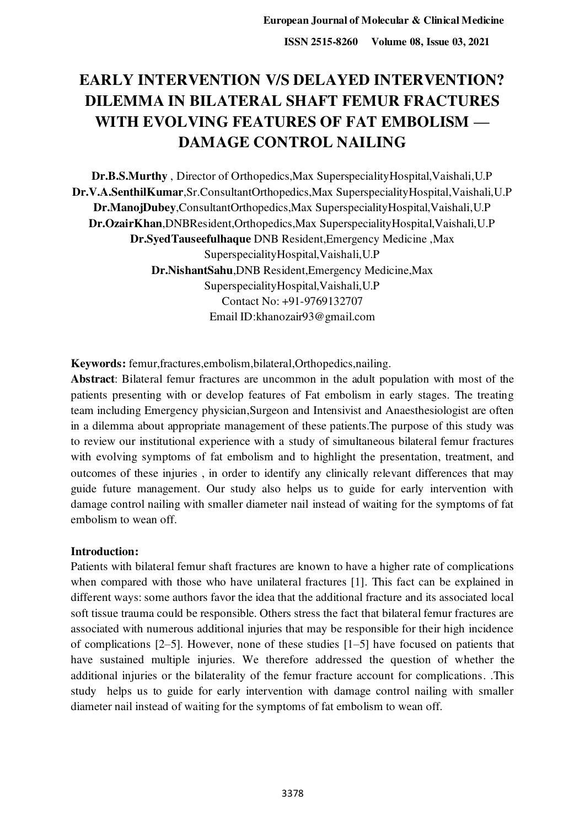# **EARLY INTERVENTION V/S DELAYED INTERVENTION? DILEMMA IN BILATERAL SHAFT FEMUR FRACTURES WITH EVOLVING FEATURES OF FAT EMBOLISM — DAMAGE CONTROL NAILING**

**Dr.B.S.Murthy** , Director of Orthopedics,Max SuperspecialityHospital,Vaishali,U.P **Dr.V.A.SenthilKumar**,Sr.ConsultantOrthopedics,Max SuperspecialityHospital,Vaishali,U.P **Dr.ManojDubey**,ConsultantOrthopedics,Max SuperspecialityHospital,Vaishali,U.P **Dr.OzairKhan**,DNBResident,Orthopedics,Max SuperspecialityHospital,Vaishali,U.P **Dr.SyedTauseefulhaque** DNB Resident,Emergency Medicine ,Max SuperspecialityHospital,Vaishali,U.P **Dr.NishantSahu**,DNB Resident,Emergency Medicine,Max SuperspecialityHospital,Vaishali,U.P Contact No: +91-9769132707 Email ID:khanozair93@gmail.com

**Keywords:** femur,fractures,embolism,bilateral,Orthopedics,nailing.

**Abstract**: Bilateral femur fractures are uncommon in the adult population with most of the patients presenting with or develop features of Fat embolism in early stages. The treating team including Emergency physician,Surgeon and Intensivist and Anaesthesiologist are often in a dilemma about appropriate management of these patients.The purpose of this study was to review our institutional experience with a study of simultaneous bilateral femur fractures with evolving symptoms of fat embolism and to highlight the presentation, treatment, and outcomes of these injuries , in order to identify any clinically relevant differences that may guide future management. Our study also helps us to guide for early intervention with damage control nailing with smaller diameter nail instead of waiting for the symptoms of fat embolism to wean off.

# **Introduction:**

Patients with bilateral femur shaft fractures are known to have a higher rate of complications when compared with those who have unilateral fractures [1]. This fact can be explained in different ways: some authors favor the idea that the additional fracture and its associated local soft tissue trauma could be responsible. Others stress the fact that bilateral femur fractures are associated with numerous additional injuries that may be responsible for their high incidence of complications [2–5]. However, none of these studies [1–5] have focused on patients that have sustained multiple injuries. We therefore addressed the question of whether the additional injuries or the bilaterality of the femur fracture account for complications. .This study helps us to guide for early intervention with damage control nailing with smaller diameter nail instead of waiting for the symptoms of fat embolism to wean off.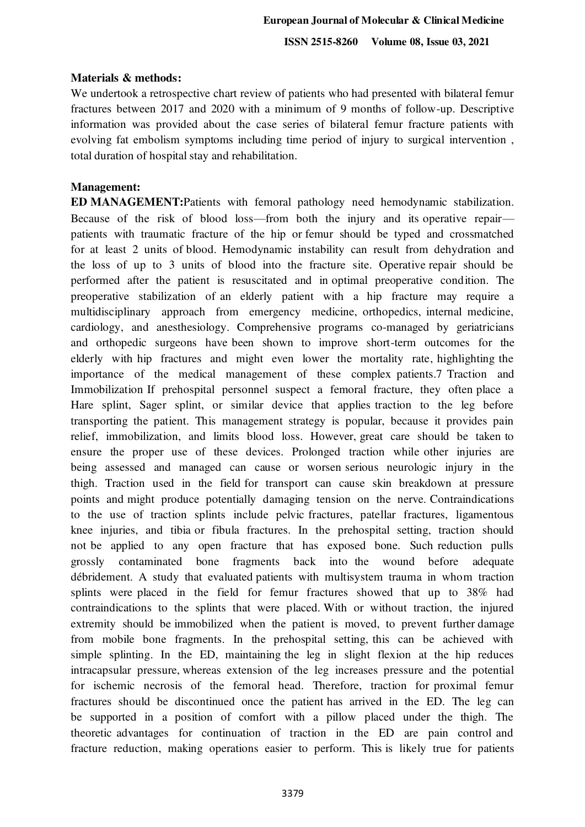**ISSN 2515-8260 Volume 08, Issue 03, 2021**

### **Materials & methods:**

We undertook a retrospective chart review of patients who had presented with bilateral femur fractures between 2017 and 2020 with a minimum of 9 months of follow-up. Descriptive information was provided about the case series of bilateral femur fracture patients with evolving fat embolism symptoms including time period of injury to surgical intervention , total duration of hospital stay and rehabilitation.

### **Management:**

**ED MANAGEMENT:**Patients with femoral pathology need hemodynamic stabilization. Because of the risk of blood loss—from both the injury and its operative repair patients with traumatic fracture of the hip or femur should be typed and crossmatched for at least 2 units of blood. Hemodynamic instability can result from dehydration and the loss of up to 3 units of blood into the fracture site. Operative repair should be performed after the patient is resuscitated and in optimal preoperative condition. The preoperative stabilization of an elderly patient with a hip fracture may require a multidisciplinary approach from emergency medicine, orthopedics, internal medicine, cardiology, and anesthesiology. Comprehensive programs co-managed by geriatricians and orthopedic surgeons have been shown to improve short-term outcomes for the elderly with hip fractures and might even lower the mortality rate, highlighting the importance of the medical management of these complex patients.7 Traction and Immobilization If prehospital personnel suspect a femoral fracture, they often place a Hare splint, Sager splint, or similar device that applies traction to the leg before transporting the patient. This management strategy is popular, because it provides pain relief, immobilization, and limits blood loss. However, great care should be taken to ensure the proper use of these devices. Prolonged traction while other injuries are being assessed and managed can cause or worsen serious neurologic injury in the thigh. Traction used in the field for transport can cause skin breakdown at pressure points and might produce potentially damaging tension on the nerve. Contraindications to the use of traction splints include pelvic fractures, patellar fractures, ligamentous knee injuries, and tibia or fibula fractures. In the prehospital setting, traction should not be applied to any open fracture that has exposed bone. Such reduction pulls grossly contaminated bone fragments back into the wound before adequate débridement. A study that evaluated patients with multisystem trauma in whom traction splints were placed in the field for femur fractures showed that up to 38% had contraindications to the splints that were placed. With or without traction, the injured extremity should be immobilized when the patient is moved, to prevent further damage from mobile bone fragments. In the prehospital setting, this can be achieved with simple splinting. In the ED, maintaining the leg in slight flexion at the hip reduces intracapsular pressure, whereas extension of the leg increases pressure and the potential for ischemic necrosis of the femoral head. Therefore, traction for proximal femur fractures should be discontinued once the patient has arrived in the ED. The leg can be supported in a position of comfort with a pillow placed under the thigh. The theoretic advantages for continuation of traction in the ED are pain control and fracture reduction, making operations easier to perform. This is likely true for patients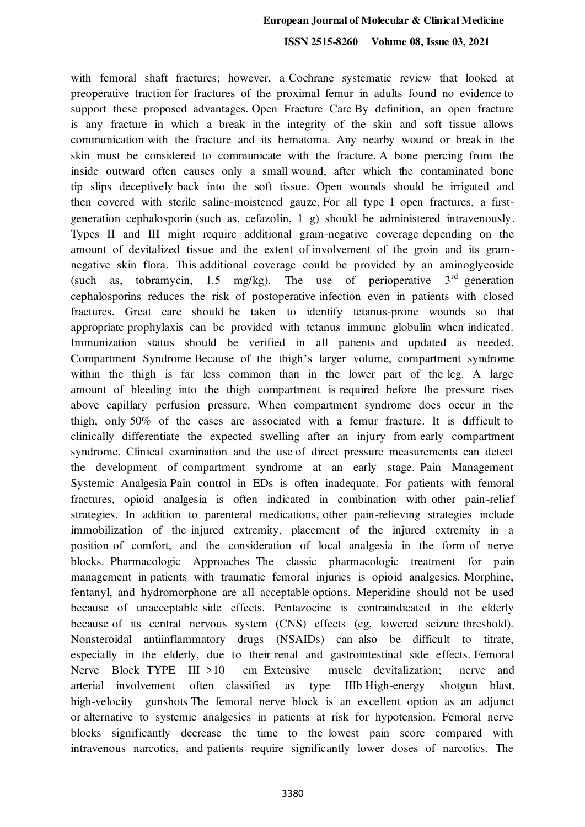### **European Journal of Molecular & Clinical Medicine**

### **ISSN 2515-8260 Volume 08, Issue 03, 2021**

with femoral shaft fractures; however, a Cochrane systematic review that looked at preoperative traction for fractures of the proximal femur in adults found no evidence to support these proposed advantages. Open Fracture Care By definition, an open fracture is any fracture in which a break in the integrity of the skin and soft tissue allows communication with the fracture and its hematoma. Any nearby wound or break in the skin must be considered to communicate with the fracture. A bone piercing from the inside outward often causes only a small wound, after which the contaminated bone tip slips deceptively back into the soft tissue. Open wounds should be irrigated and then covered with sterile saline-moistened gauze. For all type I open fractures, a firstgeneration cephalosporin (such as, cefazolin, 1 g) should be administered intravenously. Types II and III might require additional gram-negative coverage depending on the amount of devitalized tissue and the extent of involvement of the groin and its gramnegative skin flora. This additional coverage could be provided by an aminoglycoside (such as, tobramycin, 1.5 mg/kg). The use of perioperative  $3<sup>rd</sup>$  generation cephalosporins reduces the risk of postoperative infection even in patients with closed fractures. Great care should be taken to identify tetanus-prone wounds so that appropriate prophylaxis can be provided with tetanus immune globulin when indicated. Immunization status should be verified in all patients and updated as needed. Compartment Syndrome Because of the thigh's larger volume, compartment syndrome within the thigh is far less common than in the lower part of the leg. A large amount of bleeding into the thigh compartment is required before the pressure rises above capillary perfusion pressure. When compartment syndrome does occur in the thigh, only 50% of the cases are associated with a femur fracture. It is difficult to clinically differentiate the expected swelling after an injury from early compartment syndrome. Clinical examination and the use of direct pressure measurements can detect the development of compartment syndrome at an early stage. Pain Management Systemic Analgesia Pain control in EDs is often inadequate. For patients with femoral fractures, opioid analgesia is often indicated in combination with other pain-relief strategies. In addition to parenteral medications, other pain-relieving strategies include immobilization of the injured extremity, placement of the injured extremity in a position of comfort, and the consideration of local analgesia in the form of nerve blocks. Pharmacologic Approaches The classic pharmacologic treatment for pain management in patients with traumatic femoral injuries is opioid analgesics. Morphine, fentanyl, and hydromorphone are all acceptable options. Meperidine should not be used because of unacceptable side effects. Pentazocine is contraindicated in the elderly because of its central nervous system (CNS) effects (eg, lowered seizure threshold). Nonsteroidal antiinflammatory drugs (NSAIDs) can also be difficult to titrate, especially in the elderly, due to their renal and gastrointestinal side effects. Femoral Nerve Block TYPE III >10 cm Extensive muscle devitalization; nerve and arterial involvement often classified as type IIIb High-energy shotgun blast, high-velocity gunshots The femoral nerve block is an excellent option as an adjunct or alternative to systemic analgesics in patients at risk for hypotension. Femoral nerve blocks significantly decrease the time to the lowest pain score compared with intravenous narcotics, and patients require significantly lower doses of narcotics. The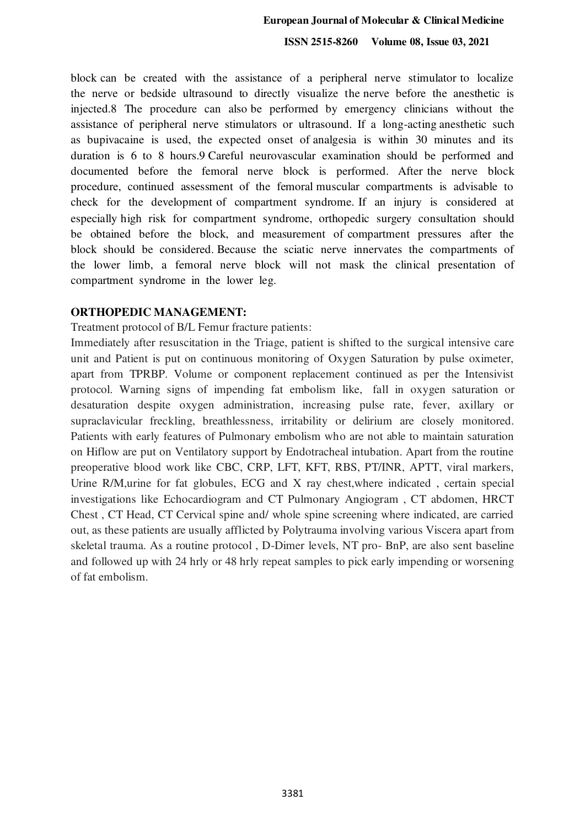**ISSN 2515-8260 Volume 08, Issue 03, 2021**

block can be created with the assistance of a peripheral nerve stimulator to localize the nerve or bedside ultrasound to directly visualize the nerve before the anesthetic is injected.8 The procedure can also be performed by emergency clinicians without the assistance of peripheral nerve stimulators or ultrasound. If a long-acting anesthetic such as bupivacaine is used, the expected onset of analgesia is within 30 minutes and its duration is 6 to 8 hours.9 Careful neurovascular examination should be performed and documented before the femoral nerve block is performed. After the nerve block procedure, continued assessment of the femoral muscular compartments is advisable to check for the development of compartment syndrome. If an injury is considered at especially high risk for compartment syndrome, orthopedic surgery consultation should be obtained before the block, and measurement of compartment pressures after the block should be considered. Because the sciatic nerve innervates the compartments of the lower limb, a femoral nerve block will not mask the clinical presentation of compartment syndrome in the lower leg.

### **ORTHOPEDIC MANAGEMENT:**

Treatment protocol of B/L Femur fracture patients:

Immediately after resuscitation in the Triage, patient is shifted to the surgical intensive care unit and Patient is put on continuous monitoring of Oxygen Saturation by pulse oximeter, apart from TPRBP. Volume or component replacement continued as per the Intensivist protocol. Warning signs of impending fat embolism like, fall in oxygen saturation or desaturation despite oxygen administration, increasing pulse rate, fever, axillary or supraclavicular freckling, breathlessness, irritability or delirium are closely monitored. Patients with early features of Pulmonary embolism who are not able to maintain saturation on Hiflow are put on Ventilatory support by Endotracheal intubation. Apart from the routine preoperative blood work like CBC, CRP, LFT, KFT, RBS, PT/INR, APTT, viral markers, Urine R/M,urine for fat globules, ECG and X ray chest,where indicated , certain special investigations like Echocardiogram and CT Pulmonary Angiogram , CT abdomen, HRCT Chest , CT Head, CT Cervical spine and/ whole spine screening where indicated, are carried out, as these patients are usually afflicted by Polytrauma involving various Viscera apart from skeletal trauma. As a routine protocol , D-Dimer levels, NT pro- BnP, are also sent baseline and followed up with 24 hrly or 48 hrly repeat samples to pick early impending or worsening of fat embolism.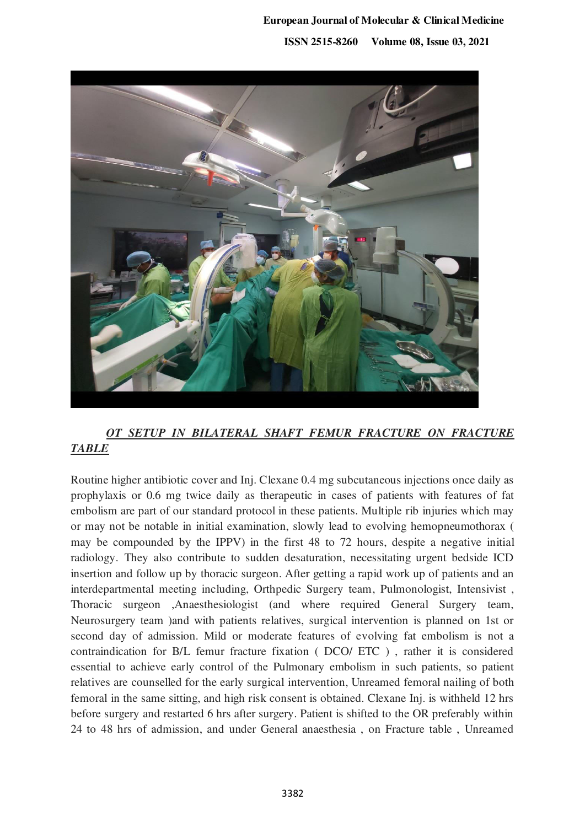# **European Journal of Molecular & Clinical Medicine ISSN 2515-8260 Volume 08, Issue 03, 2021**



# *OT SETUP IN BILATERAL SHAFT FEMUR FRACTURE ON FRACTURE TABLE*

Routine higher antibiotic cover and Inj. Clexane 0.4 mg subcutaneous injections once daily as prophylaxis or 0.6 mg twice daily as therapeutic in cases of patients with features of fat embolism are part of our standard protocol in these patients. Multiple rib injuries which may or may not be notable in initial examination, slowly lead to evolving hemopneumothorax ( may be compounded by the IPPV) in the first 48 to 72 hours, despite a negative initial radiology. They also contribute to sudden desaturation, necessitating urgent bedside ICD insertion and follow up by thoracic surgeon. After getting a rapid work up of patients and an interdepartmental meeting including, Orthpedic Surgery team, Pulmonologist, Intensivist , Thoracic surgeon ,Anaesthesiologist (and where required General Surgery team, Neurosurgery team )and with patients relatives, surgical intervention is planned on 1st or second day of admission. Mild or moderate features of evolving fat embolism is not a contraindication for B/L femur fracture fixation ( DCO/ ETC ) , rather it is considered essential to achieve early control of the Pulmonary embolism in such patients, so patient relatives are counselled for the early surgical intervention, Unreamed femoral nailing of both femoral in the same sitting, and high risk consent is obtained. Clexane Inj. is withheld 12 hrs before surgery and restarted 6 hrs after surgery. Patient is shifted to the OR preferably within 24 to 48 hrs of admission, and under General anaesthesia , on Fracture table , Unreamed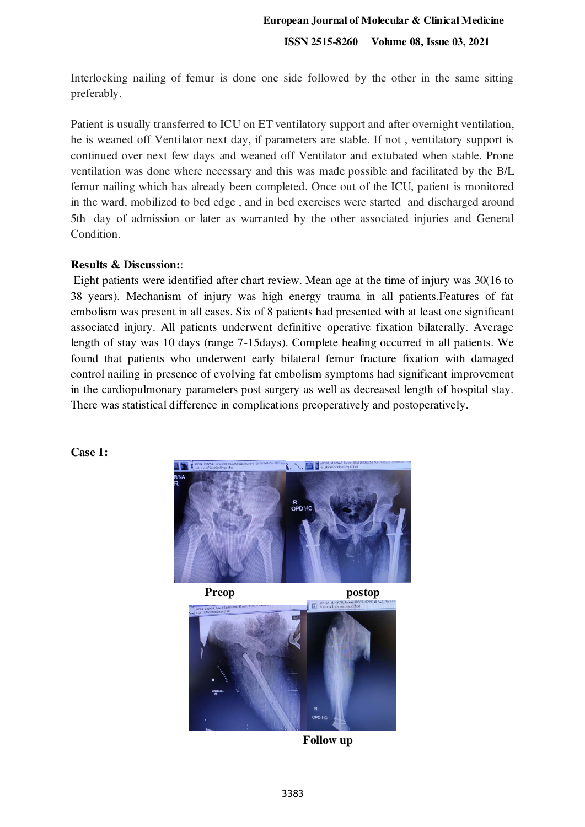Interlocking nailing of femur is done one side followed by the other in the same sitting preferably.

Patient is usually transferred to ICU on ET ventilatory support and after overnight ventilation, he is weaned off Ventilator next day, if parameters are stable. If not , ventilatory support is continued over next few days and weaned off Ventilator and extubated when stable. Prone ventilation was done where necessary and this was made possible and facilitated by the B/L femur nailing which has already been completed. Once out of the ICU, patient is monitored in the ward, mobilized to bed edge , and in bed exercises were started and discharged around 5th day of admission or later as warranted by the other associated injuries and General Condition.

# **Results & Discussion:**:

 Eight patients were identified after chart review. Mean age at the time of injury was 30(16 to 38 years). Mechanism of injury was high energy trauma in all patients.Features of fat embolism was present in all cases. Six of 8 patients had presented with at least one significant associated injury. All patients underwent definitive operative fixation bilaterally. Average length of stay was 10 days (range 7-15days). Complete healing occurred in all patients. We found that patients who underwent early bilateral femur fracture fixation with damaged control nailing in presence of evolving fat embolism symptoms had significant improvement in the cardiopulmonary parameters post surgery as well as decreased length of hospital stay. There was statistical difference in complications preoperatively and postoperatively.





**Follow up**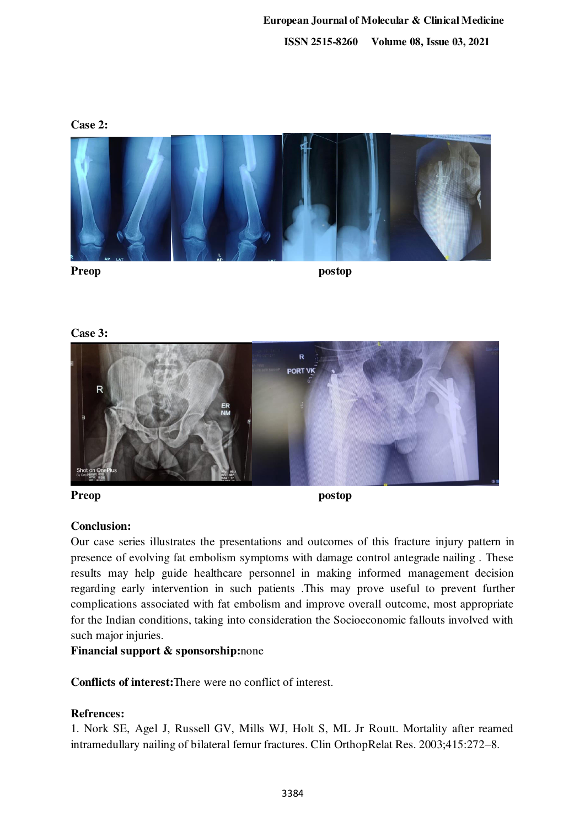

**Preop postop** 

**Case 3:** 



**Preop postop** 

# **Conclusion:**

Our case series illustrates the presentations and outcomes of this fracture injury pattern in presence of evolving fat embolism symptoms with damage control antegrade nailing . These results may help guide healthcare personnel in making informed management decision regarding early intervention in such patients .This may prove useful to prevent further complications associated with fat embolism and improve overall outcome, most appropriate for the Indian conditions, taking into consideration the Socioeconomic fallouts involved with such major injuries.

# **Financial support & sponsorship:**none

**Conflicts of interest:**There were no conflict of interest.

# **Refrences:**

1. Nork SE, Agel J, Russell GV, Mills WJ, Holt S, ML Jr Routt. Mortality after reamed intramedullary nailing of bilateral femur fractures. Clin OrthopRelat Res. 2003;415:272–8.